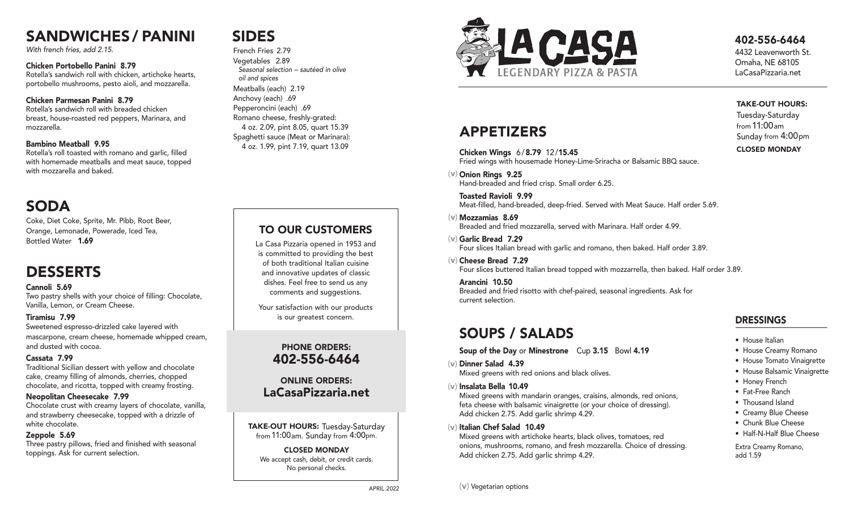# SANDWICHES / PANINI

With french fries, add 2.15.

## Chicken Portobello Panini 8.79

Rotella's sandwich roll with chicken, artichoke hearts, portobello mushrooms, pesto aioli, and mozzarella.

## Chicken Parmesan Panini 8.79

Rotella's sandwich roll with breaded chicken breast, house-roasted red peppers, Marinara, and mozzarella.

## Bambino Meatball 9.95

Rotella's roll toasted with romano and garlic, filled with homemade meatballs and meat sauce, topped with mozzarella and baked.

# SODA

Coke, Diet Coke, Sprite, Mr. Pibb, Root Beer, Orange, Lemonade, Powerade, Iced Tea, Bottled Water 1.69

# DESSERTS

## Cannoli 5.69

Two pastry shells with your choice of filling: Chocolate, Vanilla, Lemon, or Cream Cheese.

## Tiramisu 7.99

Sweetened espresso-drizzled cake layered with mascarpone, cream cheese, homemade whipped cream, and dusted with cocoa.

## Cassata 7.99

Traditional Sicilian dessert with yellow and chocolate cake, creamy filling of almonds, cherries, chopped chocolate, and ricotta, topped with creamy frosting.

## Neopolitan Cheesecake 7.99

Chocolate crust with creamy layers of chocolate, vanilla, and strawberry cheesecake, topped with a drizzle of white chocolate.

## Zeppole 5.69

Three pastry pillows, fried and finished with seasonal toppings. Ask for current selection.

# SIDES

French Fries 2.79 Vegetables 2.89 Seasonal selection – sautéed in olive oil and spices Meatballs (each) 2.19 Anchovy (each) .69 Pepperoncini (each) .69 Romano cheese, freshly-grated: 4 oz. 2.09, pint 8.05, quart 15.39 Spaghetti sauce (Meat or Marinara): 4 oz. 1.99, pint 7.19, quart 13.09

## TO OUR CUSTOMERS

La Casa Pizzaria opened in 1953 and is committed to providing the best of both traditional Italian cuisine and innovative updates of classic dishes. Feel free to send us any comments and suggestions.

Your satisfaction with our products is our greatest concern.

## PHONE ORDERS: 402-556-6464

## ONLINE ORDERS: LaCasaPizzaria.net

TAKE-OUT HOURS: Tuesday-Saturday from 11:00am. Sunday from 4:00pm.

CLOSED MONDAY We accept cash, debit, or credit cards. No personal checks.

APRIL 2022



## 402-556-6464

4432 Leavenworth St. Omaha, NE 68105 LaCasaPizzaria.net

TAKE-OUT HOURS: Tuesday-Saturday from 11:00am

# APPETIZERS

Chicken Wings 6/8.79 12/15.45 Fried wings with housemade Honey-Lime-Sriracha or Balsamic BBQ sauce.

 $(v)$  Onion Rings 9.25 Hand-breaded and fried crisp. Small order 6.25.

Toasted Ravioli 9.99 Meat-filled, hand-breaded, deep-fried. Served with Meat Sauce. Half order 5.69.

Mozzamias 8.69 (v) Breaded and fried mozzarella, served with Marinara. Half order 4.99.

- Garlic Bread 7.29 (v) Four slices Italian bread with garlic and romano, then baked. Half order 3.89.
- $(v)$  Cheese Bread 7.29 Four slices buttered Italian bread topped with mozzarrella, then baked. Half order 3.89.

Arancini 10.50 Breaded and fried risotto with chef-paired, seasonal ingredients. Ask for current selection.

# SOUPS / SALADS

Soup of the Day or Minestrone Cup 3.15 Bowl 4.19

- Dinner Salad 4.39 (v) Mixed greens with red onions and black olives.
- Insalata Bella 10.49 (v)

Mixed greens with mandarin oranges, craisins, almonds, red onions, feta cheese with balsamic vinaigrette (or your choice of dressing). Add chicken 2.75. Add garlic shrimp 4.29.

(v) Italian Chef Salad 10.49

Mixed greens with artichoke hearts, black olives, tomatoes, red onions, mushrooms, romano, and fresh mozzarella. Choice of dressing. Add chicken 2.75. Add garlic shrimp 4.29.

# Sunday from 4:00pm CLOSED MONDAY

## DRESSINGS

- House Italian
- House Creamy Romano
- House Tomato Vinaigrette
- House Balsamic Vinaigrette
- Honey French
- Fat-Free Ranch
- Thousand Island
- Creamy Blue Cheese
- Chunk Blue Cheese • Half-N-Half Blue Cheese

Extra Creamy Romano, add 1.59